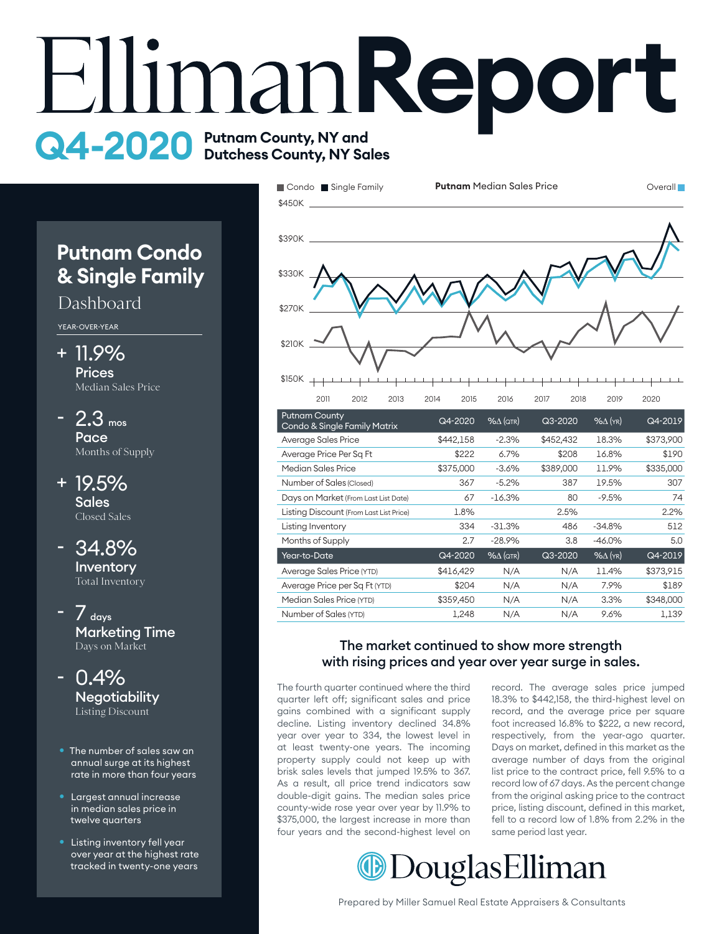# **EllimanReport Q4-2020** Putnam County, NY and

# **Putnam Condo & Single Family**

## Dashboard

YEAR-OVER-YEAR

- + 11.9% **Prices** Median Sales Price
- $-2.3$  mos **Pace** Months of Supply
- 19.5% + **Sales** Closed Sales
- 34.8% **Inventory** Total Inventory -
- $\frac{1}{2}$  days Marketing Time Days on Market -
- 0.4% **Negotiability** Listing Discount -
- The number of sales saw an annual surge at its highest rate in more than four years
- Largest annual increase in median sales price in twelve quarters
- Listing inventory fell year over year at the highest rate tracked in twenty-one years



| <b>Putnam County</b><br>Condo & Single Family Matrix | Q4-2020   | $% \triangle (QTR)$ | $Q3 - 2020$ | $%$ $\Delta$ (YR) | Q4-2019   |
|------------------------------------------------------|-----------|---------------------|-------------|-------------------|-----------|
| Average Sales Price                                  | \$442,158 | $-2.3%$             | \$452,432   | 18.3%             | \$373,900 |
| Average Price Per Sq Ft                              | \$222     | 6.7%                | \$208       | 16.8%             | \$190     |
| Median Sales Price                                   | \$375,000 | $-3.6%$             | \$389,000   | 11.9%             | \$335,000 |
| Number of Sales (Closed)                             | 367       | $-5.2%$             | 387         | 19.5%             | 307       |
| Days on Market (From Last List Date)                 | 67        | $-16.3%$            | 80          | $-9.5%$           | 74        |
| Listing Discount (From Last List Price)              | 1.8%      |                     | 2.5%        |                   | 2.2%      |
| Listing Inventory                                    | 334       | $-31.3\%$           | 486         | $-34.8%$          | 512       |
| Months of Supply                                     | 2.7       | $-28.9%$            | 3.8         | $-46.0\%$         | 5.0       |
| Year-to-Date                                         | Q4-2020   | $% \triangle (QTR)$ | Q3-2020     | $%$ $\Delta$ (YR) | Q4-2019   |
| Average Sales Price (YTD)                            | \$416,429 | N/A                 | N/A         | 11.4%             | \$373,915 |
| Average Price per Sq Ft (YTD)                        | \$204     | N/A                 | N/A         | 7.9%              | \$189     |
| Median Sales Price (YTD)                             | \$359,450 | N/A                 | N/A         | 3.3%              | \$348,000 |
| Number of Sales (YTD)                                | 1,248     | N/A                 | N/A         | 9.6%              | 1,139     |

### with rising prices and year over year surge in sales. The market continued to show more strength

The fourth quarter continued where the third quarter left off; significant sales and price gains combined with a significant supply decline. Listing inventory declined 34.8% year over year to 334, the lowest level in at least twenty-one years. The incoming property supply could not keep up with brisk sales levels that jumped 19.5% to 367. As a result, all price trend indicators saw double-digit gains. The median sales price county-wide rose year over year by 11.9% to \$375,000, the largest increase in more than four years and the second-highest level on

record. The average sales price jumped 18.3% to \$442,158, the third-highest level on record, and the average price per square foot increased 16.8% to \$222, a new record, respectively, from the year-ago quarter. Days on market, defined in this market as the average number of days from the original list price to the contract price, fell 9.5% to a record low of 67 days. As the percent change from the original asking price to the contract price, listing discount, defined in this market, fell to a record low of 1.8% from 2.2% in the same period last year.